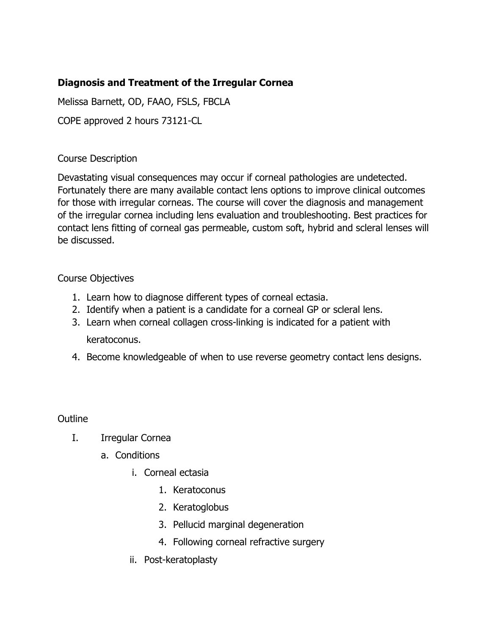# **Diagnosis and Treatment of the Irregular Cornea**

Melissa Barnett, OD, FAAO, FSLS, FBCLA

COPE approved 2 hours 73121-CL

## Course Description

Devastating visual consequences may occur if corneal pathologies are undetected. Fortunately there are many available contact lens options to improve clinical outcomes for those with irregular corneas. The course will cover the diagnosis and management of the irregular cornea including lens evaluation and troubleshooting. Best practices for contact lens fitting of corneal gas permeable, custom soft, hybrid and scleral lenses will be discussed.

# Course Objectives

- 1. Learn how to diagnose different types of corneal ectasia.
- 2. Identify when a patient is a candidate for a corneal GP or scleral lens.
- 3. Learn when corneal collagen cross-linking is indicated for a patient with keratoconus.
- 4. Become knowledgeable of when to use reverse geometry contact lens designs.

## **Outline**

- I. Irregular Cornea
	- a. Conditions
		- i. Corneal ectasia
			- 1. Keratoconus
			- 2. Keratoglobus
			- 3. Pellucid marginal degeneration
			- 4. Following corneal refractive surgery
		- ii. Post-keratoplasty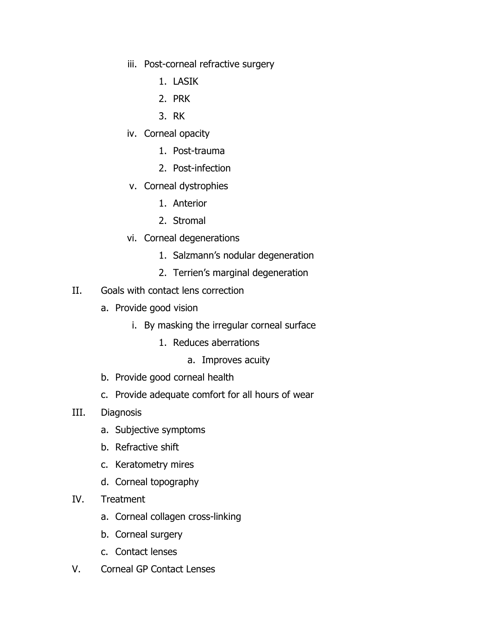- iii. Post-corneal refractive surgery
	- 1. LASIK
	- 2. PRK
	- 3. RK
- iv. Corneal opacity
	- 1. Post-trauma
	- 2. Post-infection
- v. Corneal dystrophies
	- 1. Anterior
	- 2. Stromal
- vi. Corneal degenerations
	- 1. Salzmann's nodular degeneration
	- 2. Terrien's marginal degeneration
- II. Goals with contact lens correction
	- a. Provide good vision
		- i. By masking the irregular corneal surface
			- 1. Reduces aberrations
				- a. Improves acuity
	- b. Provide good corneal health
	- c. Provide adequate comfort for all hours of wear
- III. Diagnosis
	- a. Subjective symptoms
	- b. Refractive shift
	- c. Keratometry mires
	- d. Corneal topography
- IV. Treatment
	- a. Corneal collagen cross-linking
	- b. Corneal surgery
	- c. Contact lenses
- V. Corneal GP Contact Lenses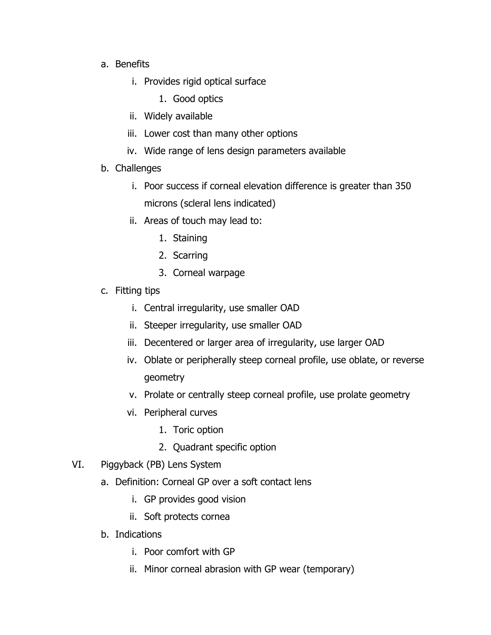- a. Benefits
	- i. Provides rigid optical surface
		- 1. Good optics
	- ii. Widely available
	- iii. Lower cost than many other options
	- iv. Wide range of lens design parameters available
- b. Challenges
	- i. Poor success if corneal elevation difference is greater than 350 microns (scleral lens indicated)
	- ii. Areas of touch may lead to:
		- 1. Staining
		- 2. Scarring
		- 3. Corneal warpage
- c. Fitting tips
	- i. Central irregularity, use smaller OAD
	- ii. Steeper irregularity, use smaller OAD
	- iii. Decentered or larger area of irregularity, use larger OAD
	- iv. Oblate or peripherally steep corneal profile, use oblate, or reverse geometry
	- v. Prolate or centrally steep corneal profile, use prolate geometry
	- vi. Peripheral curves
		- 1. Toric option
		- 2. Quadrant specific option
- VI. Piggyback (PB) Lens System
	- a. Definition: Corneal GP over a soft contact lens
		- i. GP provides good vision
		- ii. Soft protects cornea
	- b. Indications
		- i. Poor comfort with GP
		- ii. Minor corneal abrasion with GP wear (temporary)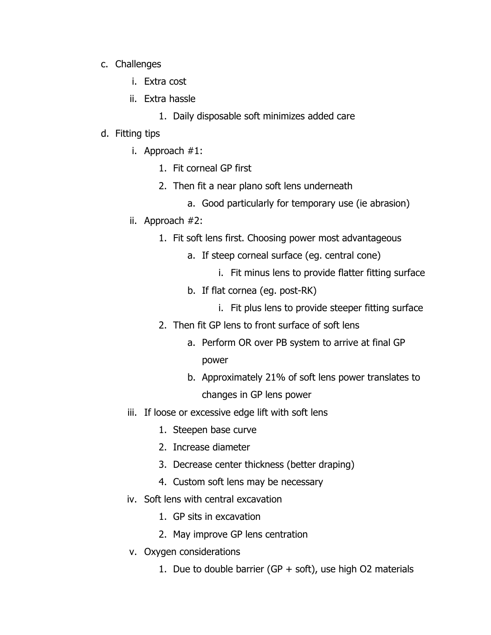- c. Challenges
	- i. Extra cost
	- ii. Extra hassle
		- 1. Daily disposable soft minimizes added care

#### d. Fitting tips

- i. Approach #1:
	- 1. Fit corneal GP first
	- 2. Then fit a near plano soft lens underneath
		- a. Good particularly for temporary use (ie abrasion)
- ii. Approach #2:
	- 1. Fit soft lens first. Choosing power most advantageous
		- a. If steep corneal surface (eg. central cone)
			- i. Fit minus lens to provide flatter fitting surface
		- b. If flat cornea (eg. post-RK)
			- i. Fit plus lens to provide steeper fitting surface
	- 2. Then fit GP lens to front surface of soft lens
		- a. Perform OR over PB system to arrive at final GP power
		- b. Approximately 21% of soft lens power translates to changes in GP lens power
- iii. If loose or excessive edge lift with soft lens
	- 1. Steepen base curve
	- 2. Increase diameter
	- 3. Decrease center thickness (better draping)
	- 4. Custom soft lens may be necessary
- iv. Soft lens with central excavation
	- 1. GP sits in excavation
	- 2. May improve GP lens centration
- v. Oxygen considerations
	- 1. Due to double barrier (GP  $+$  soft), use high O2 materials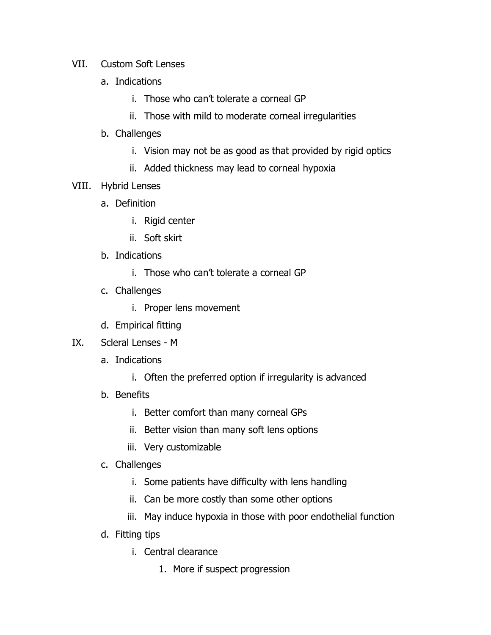- VII. Custom Soft Lenses
	- a. Indications
		- i. Those who can't tolerate a corneal GP
		- ii. Those with mild to moderate corneal irregularities
	- b. Challenges
		- i. Vision may not be as good as that provided by rigid optics
		- ii. Added thickness may lead to corneal hypoxia
- VIII. Hybrid Lenses
	- a. Definition
		- i. Rigid center
		- ii. Soft skirt
	- b. Indications
		- i. Those who can't tolerate a corneal GP
	- c. Challenges
		- i. Proper lens movement
	- d. Empirical fitting
- IX. Scleral Lenses M
	- a. Indications
		- i. Often the preferred option if irregularity is advanced
	- b. Benefits
		- i. Better comfort than many corneal GPs
		- ii. Better vision than many soft lens options
		- iii. Very customizable
	- c. Challenges
		- i. Some patients have difficulty with lens handling
		- ii. Can be more costly than some other options
		- iii. May induce hypoxia in those with poor endothelial function
	- d. Fitting tips
		- i. Central clearance
			- 1. More if suspect progression